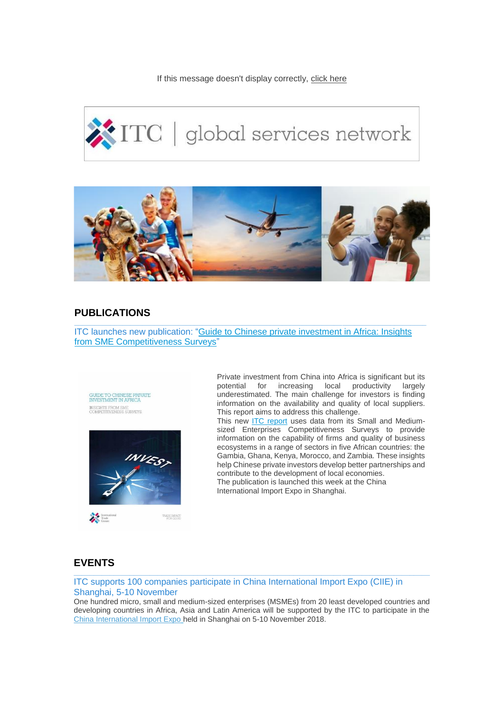If this message doesn't display correctly, click here

# ITC | global services network



# **PUBLICATIONS**

ITC launches new publication: ["Guide to Chinese private investment in Africa: Insights](http://eye.maillink.intracen.org/c?p=xBDQgejQouPQtDZFZtCMO1g6RHwS0IDEENDH0J3QttCTPdDeStCU0I_Q0dDe-wbQiNCJVdlJaHR0cDovL3d3dy5pbnRyYWNlbi5vcmcvcHVibGljYXRpb24vQ2hpbmVzZS1wcml2YXRlLWludmVzdG1lbnQtaW4tQWZyaWNhL7g1YTcwM2U0N2I4NWI1MzZhOWY0YmY2MDjEEEcicF3Qn9CkRy7QuiTQ0zwh0NPu0I65ZXllLm1haWxsaW5rLmludHJhY2VuLm9yZ8QU0NvQxtCD0KHQghrQsWVo93kM0NdoVmMZ0IkiXw)  [from SME Competitiveness Surveys"](http://eye.maillink.intracen.org/c?p=xBDQgejQouPQtDZFZtCMO1g6RHwS0IDEENDH0J3QttCTPdDeStCU0I_Q0dDe-wbQiNCJVdlJaHR0cDovL3d3dy5pbnRyYWNlbi5vcmcvcHVibGljYXRpb24vQ2hpbmVzZS1wcml2YXRlLWludmVzdG1lbnQtaW4tQWZyaWNhL7g1YTcwM2U0N2I4NWI1MzZhOWY0YmY2MDjEEEcicF3Qn9CkRy7QuiTQ0zwh0NPu0I65ZXllLm1haWxsaW5rLmludHJhY2VuLm9yZ8QU0NvQxtCD0KHQghrQsWVo93kM0NdoVmMZ0IkiXw)

**\_\_\_\_\_\_\_\_\_\_\_\_\_\_\_\_\_\_\_\_\_\_\_\_\_\_\_\_\_\_\_\_\_\_\_\_\_\_\_\_\_\_\_\_\_\_\_\_\_\_\_\_\_\_\_\_\_\_\_\_\_\_\_\_\_\_\_\_\_\_\_\_\_\_\_\_\_\_\_\_\_\_\_\_\_\_\_\_**





Private investment from China into Africa is significant but its potential for increasing local productivity largely underestimated. The main challenge for investors is finding information on the availability and quality of local suppliers. This report aims to address this challenge.

This new [ITC report](http://eye.maillink.intracen.org/c?p=xBDQgejQouPQtDZFZtCMO1g6RHwS0IDEENDSX_XQsdCseUPQstChDTbQnv_QzjPQsNlJaHR0cDovL3d3dy5pbnRyYWNlbi5vcmcvcHVibGljYXRpb24vQ2hpbmVzZS1wcml2YXRlLWludmVzdG1lbnQtaW4tQWZyaWNhL7g1YTcwM2U0N2I4NWI1MzZhOWY0YmY2MDjEEEcicF3Qn9CkRy7QuiTQ0zwh0NPu0I65ZXllLm1haWxsaW5rLmludHJhY2VuLm9yZ8QU0NvQxtCD0KHQghrQsWVo93kM0NdoVmMZ0IkiXw) uses data from its Small and Mediumsized Enterprises Competitiveness Surveys to provide information on the capability of firms and quality of business ecosystems in a range of sectors in five African countries: the Gambia, Ghana, Kenya, Morocco, and Zambia. These insights help Chinese private investors develop better partnerships and contribute to the development of local economies. The publication is launched this week at the China International Import Expo in Shanghai.

# **EVENTS**

ITC supports 100 companies participate in China International Import Expo (CIIE) in Shanghai, 5-10 November

One hundred micro, small and medium-sized enterprises (MSMEs) from 20 least developed countries and developing countries in Africa, Asia and Latin America will be supported by the ITC to participate in the [China International Import Expo](http://eye.maillink.intracen.org/c?p=xBDQgejQouPQtDZFZtCMO1g6RHwS0IDEENDO0Ms87XcqS9Cc0JV_SxMG0Ih5RNl6aHR0cDovL3d3dy5pbnRyYWNlbi5vcmcvbm91dmVsbGVzL0lUQy10by1zdXBwb3J0LTEwMC1NU01Fcy1mcm9tLTIwLWNvdW50cmllcy10by1hdHRlbmQtQ2hpbmEtSW50ZXJuYXRpb25hbC1JbXBvcnQtRXhwby1lbi-4NWE3MDNlNDdiODViNTM2YTlmNGJmNjA4xBBHInBd0J_QpEcu0Lok0NM8IdDT7tCOuWV5ZS5tYWlsbGluay5pbnRyYWNlbi5vcmfEFNDb0MbQg9Ch0IIa0LFlaPd5DNDXaFZjGdCJIl8) held in Shanghai on 5-10 November 2018.

**\_\_\_\_\_\_\_\_\_\_\_\_\_\_\_\_\_\_\_\_\_\_\_\_\_\_\_\_\_\_\_\_\_\_\_\_\_\_\_\_\_\_\_\_\_\_\_\_\_\_\_\_\_\_\_\_\_\_\_\_\_\_\_\_\_\_\_\_\_\_\_\_\_\_\_\_\_\_\_\_\_\_\_\_\_\_\_\_\_**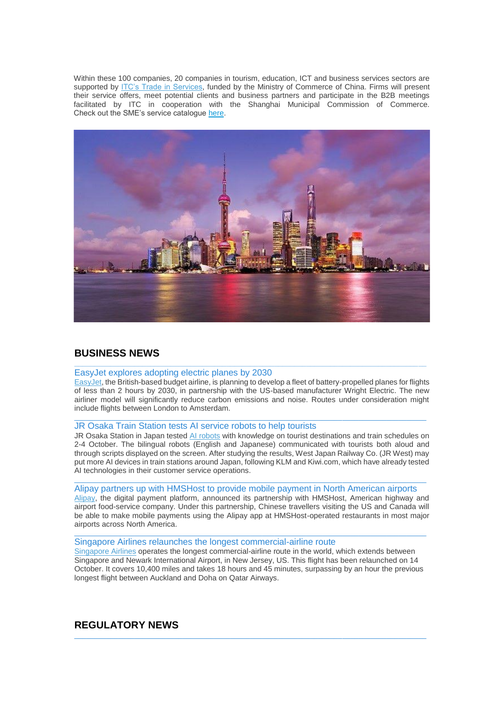Within these 100 companies, 20 companies in tourism, education, ICT and business services sectors are supported by **ITC's Trade in Services**, funded by the Ministry of Commerce of China. Firms will present their service offers, meet potential clients and business partners and participate in the B2B meetings facilitated by ITC in cooperation with the Shanghai Municipal Commission of Commerce. Check out the SME's service catalogue [here.](http://eye.maillink.intracen.org/c?p=xBDQgejQouPQtDZFZtCMO1g6RHwS0IDEENDB0MVs0NDQl_1E0M_QvtCH0MvQndC_dkVZ2atodHRwOi8vd3d3LmludHJhY2VuLm9yZy91cGxvYWRlZEZpbGVzL2ludHJhY2Vub3JnL0NvbnRlbnQvRXhwb3J0ZXJzL1NlY3RvcnMvU2VydmljZV9leHBvcnRzL1RyYWRlX2luX3NlcnZpY2VzL0NJSUUlMjBDYXRhbG9ndWUlMjAtJTIwVHJhZGUlMjBpbiUyMFNlcnZpY2VzXzE2MTAyMDE4X3dlYi5wZGa4NWE3MDNlNDdiODViNTM2YTlmNGJmNjA4xBBHInBd0J_QpEcu0Lok0NM8IdDT7tCOuWV5ZS5tYWlsbGluay5pbnRyYWNlbi5vcmfEFNDb0MbQg9Ch0IIa0LFlaPd5DNDXaFZjGdCJIl8)



## **BUSINESS NEWS**

### EasyJet explores adopting electric planes by 2030

[EasyJet,](http://eye.maillink.intracen.org/c?p=xBDQgejQouPQtDZFZtCMO1g6RHwS0IDEEBbp4VTQvdCERVPQsdCqEdDf0NV30I0k2U5odHRwczovL2VkaXRpb24uY25uLmNvbS90cmF2ZWwvYXJ0aWNsZS9lbGVjdHJpYy1lYXN5amV0LXBsYW5lcy1pbnRsL2luZGV4Lmh0bWy4NWE3MDNlNDdiODViNTM2YTlmNGJmNjA4xBBHInBd0J_QpEcu0Lok0NM8IdDT7tCOuWV5ZS5tYWlsbGluay5pbnRyYWNlbi5vcmfEFNDb0MbQg9Ch0IIa0LFlaPd5DNDXaFZjGdCJIl8) the British-based budget airline, is planning to develop a fleet of battery-propelled planes for flights of less than 2 hours by 2030, in partnership with the US-based manufacturer Wright Electric. The new airliner model will significantly reduce carbon emissions and noise. Routes under consideration might include flights between London to Amsterdam.

\_\_\_\_\_\_\_\_\_\_\_\_\_\_\_\_\_\_\_\_\_\_\_\_\_\_\_\_\_\_\_\_\_\_\_\_\_\_\_\_\_\_\_\_\_\_\_\_\_\_\_\_\_\_\_\_\_\_\_\_\_\_\_\_\_\_\_\_\_\_\_\_\_\_\_\_\_\_\_\_\_\_\_\_\_\_\_\_

**\_\_\_\_\_\_\_\_\_\_\_\_\_\_\_\_\_\_\_\_\_\_\_\_\_\_\_\_\_\_\_\_\_\_\_\_\_\_\_\_\_\_\_\_\_\_\_\_\_\_\_\_\_\_\_\_\_\_\_\_\_\_\_\_\_\_\_\_\_\_\_\_\_\_\_\_\_\_\_\_\_\_\_\_\_\_\_\_**

### JR Osaka Train Station tests AI service robots to help tourists

JR Osaka Station in Japan tested [AI robots](http://eye.maillink.intracen.org/c?p=xBDQgejQouPQtDZFZtCMO1g6RHwS0IDEEHHQkmDQrABmQ_rQgtDU7FHQxHjQz9C-2WhodHRwczovL3d3dy50cmF2ZWxwdWxzZS5jb20vbmV3cy90cmF2ZWwtdGVjaG5vbG9neS9qYXBhbmVzZS10cmFpbi1zdGF0aW9ucy10ZXN0LXRyYXZlbC1ndWlkZS1yb2JvdHMuaHRtbLg1YTcwM2U0N2I4NWI1MzZhOWY0YmY2MDjEEEcicF3Qn9CkRy7QuiTQ0zwh0NPu0I65ZXllLm1haWxsaW5rLmludHJhY2VuLm9yZ8QU0NvQxtCD0KHQghrQsWVo93kM0NdoVmMZ0IkiXw) with knowledge on tourist destinations and train schedules on 2-4 October. The bilingual robots (English and Japanese) communicated with tourists both aloud and through scripts displayed on the screen. After studying the results, West Japan Railway Co. (JR West) may put more AI devices in train stations around Japan, following KLM and Kiwi.com, which have already tested AI technologies in their customer service operations.

### \_\_\_\_\_\_\_\_\_\_\_\_\_\_\_\_\_\_\_\_\_\_\_\_\_\_\_\_\_\_\_\_\_\_\_\_\_\_\_\_\_\_\_\_\_\_\_\_\_\_\_\_\_\_\_\_\_\_\_\_\_\_\_\_\_\_\_\_\_\_\_\_\_\_\_\_\_\_\_\_\_\_\_\_\_\_\_\_ Alipay partners up with HMSHost to provide mobile payment in North American airports

[Alipay,](http://eye.maillink.intracen.org/c?p=xBDQgejQouPQtDZFZtCMO1g6RHwS0IDEEBjQztCadBZSR9C00KBuKdC6LdCu0K_QyNlUaHR0cHM6Ly93d3cudHJhdmVscHVsc2UuY29tL25ld3MvdHJhdmVsLXRlY2hub2xvZ3kvYWxpcGF5LXBhcnRuZXJzLXdpdGgtaG1zaG9zdC5odG1suDVhNzAzZTQ3Yjg1YjUzNmE5ZjRiZjYwOMQQRyJwXdCf0KRHLtC6JNDTPCHQ0-7QjrlleWUubWFpbGxpbmsuaW50cmFjZW4ub3JnxBTQ29DG0IPQodCCGtCxZWj3eQzQ12hWYxnQiSJf) the digital payment platform, announced its partnership with HMSHost, American highway and airport food-service company. Under this partnership, Chinese travellers visiting the US and Canada will be able to make mobile payments using the Alipay app at HMSHost-operated restaurants in most major airports across North America.

### Singapore Airlines relaunches the longest commercial-airline route

[Singapore Airlines](http://eye.maillink.intracen.org/c?p=xBDQgejQouPQtDZFZtCMO1g6RHwS0IDEEEcweCJs-ErQ1tCr0JT40JwESnX92WNodHRwczovL3d3dy5lY29ub21pc3QuY29tL2d1bGxpdmVyLzIwMTgvMTAvMTEvc2luZ2Fwb3JlLWFpcmxpbmVzLWxhdW5jaGVzLXRoZS13b3JsZHMtbG9uZ2VzdC1mbGlnaHS4NWE3MDNlNDdiODViNTM2YTlmNGJmNjA4xBBHInBd0J_QpEcu0Lok0NM8IdDT7tCOuWV5ZS5tYWlsbGluay5pbnRyYWNlbi5vcmfEFNDb0MbQg9Ch0IIa0LFlaPd5DNDXaFZjGdCJIl8) operates the longest commercial-airline route in the world, which extends between Singapore and Newark International Airport, in New Jersey, US. This flight has been relaunched on 14 October. It covers 10,400 miles and takes 18 hours and 45 minutes, surpassing by an hour the previous longest flight between Auckland and Doha on Qatar Airways.

\_\_\_\_\_\_\_\_\_\_\_\_\_\_\_\_\_\_\_\_\_\_\_\_\_\_\_\_\_\_\_\_\_\_\_\_\_\_\_\_\_\_\_\_\_\_\_\_\_\_\_\_\_\_\_\_\_\_\_\_\_\_\_\_\_\_\_\_\_\_\_\_\_\_\_\_\_\_\_\_\_\_\_\_\_\_\_\_

 $\_$  ,  $\_$  ,  $\_$  ,  $\_$  ,  $\_$  ,  $\_$  ,  $\_$  ,  $\_$  ,  $\_$  ,  $\_$  ,  $\_$  ,  $\_$  ,  $\_$  ,  $\_$  ,  $\_$  ,  $\_$  ,  $\_$  ,  $\_$  ,  $\_$  ,  $\_$ 

# **REGULATORY NEWS**